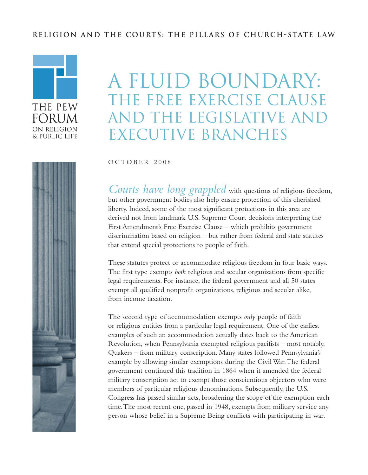### **RELIGION AND THE COURTS: THE PILLARS OF CHURCH-STATE LAW**



# A Fluid Boundary: The Free Exercise Clause and the Legislative and Executive Branches

OCTOBER 2008

*Courts have long grappled* with questions of religious freedom, but other government bodies also help ensure protection of this cherished liberty. Indeed, some of the most significant protections in this area are derived not from landmark U.S. Supreme Court decisions interpreting the First Amendment's Free Exercise Clause – which prohibits government discrimination based on religion – but rather from federal and state statutes that extend special protections to people of faith.

These statutes protect or accommodate religious freedom in four basic ways. The first type exempts *both* religious and secular organizations from specific legal requirements. For instance, the federal government and all 50 states exempt all qualified nonprofit organizations, religious and secular alike, from income taxation.

The second type of accommodation exempts *only* people of faith or religious entities from a particular legal requirement. One of the earliest examples of such an accommodation actually dates back to the American Revolution, when Pennsylvania exempted religious pacifists – most notably, Quakers – from military conscription. Many states followed Pennsylvania's example by allowing similar exemptions during the Civil War.The federal government continued this tradition in 1864 when it amended the federal military conscription act to exempt those conscientious objectors who were members of particular religious denominations. Subsequently, the U.S. Congress has passed similar acts, broadening the scope of the exemption each time.The most recent one, passed in 1948, exempts from military service any person whose belief in a Supreme Being conflicts with participating in war.

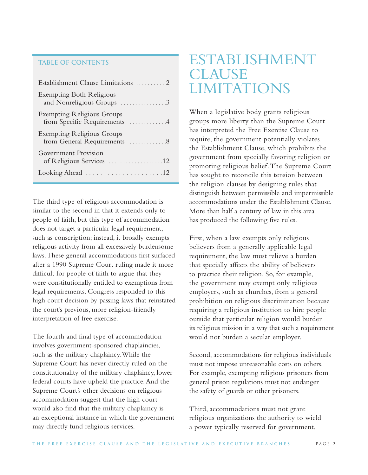#### **TABLE OF CONTENTS**

| <b>Exempting Both Religious</b><br>and Nonreligious Groups 3      |
|-------------------------------------------------------------------|
| <b>Exempting Religious Groups</b><br>from Specific Requirements 4 |
| <b>Exempting Religious Groups</b><br>from General Requirements 8  |
| Government Provision                                              |
|                                                                   |

The third type of religious accommodation is similar to the second in that it extends only to people of faith, but this type of accommodation does not target a particular legal requirement, such as conscription; instead, it broadly exempts religious activity from all excessively burdensome laws.These general accommodations first surfaced after a 1990 Supreme Court ruling made it more difficult for people of faith to argue that they were constitutionally entitled to exemptions from legal requirements. Congress responded to this high court decision by passing laws that reinstated the court's previous, more religion-friendly interpretation of free exercise.

The fourth and final type of accommodation involves government-sponsored chaplaincies, such as the military chaplaincy.While the Supreme Court has never directly ruled on the constitutionality of the military chaplaincy, lower federal courts have upheld the practice.And the Supreme Court's other decisions on religious accommodation suggest that the high court would also find that the military chaplaincy is an exceptional instance in which the government may directly fund religious services.

# ESTABLISHMENT **CLAUSE** LIMITATIONS

When a legislative body grants religious groups more liberty than the Supreme Court has interpreted the Free Exercise Clause to require, the government potentially violates the Establishment Clause, which prohibits the government from specially favoring religion or promoting religious belief.The Supreme Court has sought to reconcile this tension between the religion clauses by designing rules that distinguish between permissible and impermissible accommodations under the Establishment Clause. More than half a century of law in this area has produced the following five rules.

First, when a law exempts only religious believers from a generally applicable legal requirement, the law must relieve a burden that specially affects the ability of believers to practice their religion. So, for example, the government may exempt only religious employers, such as churches, from a general prohibition on religious discrimination because requiring a religious institution to hire people outside that particular religion would burden its religious mission in a way that such a requirement would not burden a secular employer.

Second, accommodations for religious individuals must not impose unreasonable costs on others. For example, exempting religious prisoners from general prison regulations must not endanger the safety of guards or other prisoners.

Third, accommodations must not grant religious organizations the authority to wield a power typically reserved for government,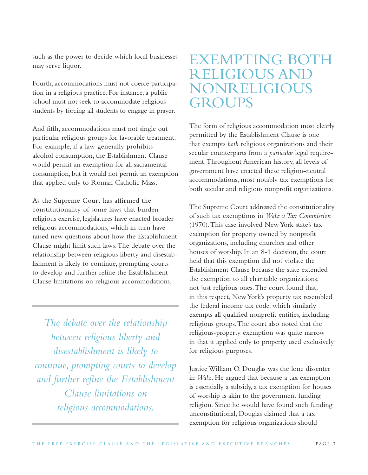such as the power to decide which local businesses may serve liquor.

Fourth, accommodations must not coerce participation in a religious practice. For instance, a public school must not seek to accommodate religious students by forcing all students to engage in prayer.

And fifth, accommodations must not single out particular religious groups for favorable treatment. For example, if a law generally prohibits alcohol consumption, the Establishment Clause would permit an exemption for all sacramental consumption, but it would not permit an exemption that applied only to Roman Catholic Mass.

As the Supreme Court has affirmed the constitutionality of some laws that burden religious exercise, legislatures have enacted broader religious accommodations, which in turn have raised new questions about how the Establishment Clause might limit such laws.The debate over the relationship between religious liberty and disestablishment is likely to continue, prompting courts to develop and further refine the Establishment Clause limitations on religious accommodations.

*The debate over the relationship between religious liberty and disestablishment is likely to continue, prompting courts to develop and further refine the Establishment Clause limitations on religious accommodations.*

# EXEMPTING BOTH RELIGIOUS AND NONRELIGIOUS **GROUPS**

The form of religious accommodation most clearly permitted by the Establishment Clause is one that exempts *both* religious organizations and their secular counterparts from a *particular* legal requirement.Throughout American history, all levels of government have enacted these religion-neutral accommodations, most notably tax exemptions for both secular and religious nonprofit organizations.

The Supreme Court addressed the constitutionality of such tax exemptions in *Walz v.Tax Commission* (1970).This case involved New York state's tax exemption for property owned by nonprofit organizations, including churches and other houses of worship. In an 8-1 decision, the court held that this exemption did not violate the Establishment Clause because the state extended the exemption to all charitable organizations, not just religious ones.The court found that, in this respect, New York's property tax resembled the federal income tax code, which similarly exempts all qualified nonprofit entities, including religious groups.The court also noted that the religious-property exemption was quite narrow in that it applied only to property used exclusively for religious purposes.

Justice William O. Douglas was the lone dissenter in *Walz*. He argued that because a tax exemption is essentially a subsidy, a tax exemption for houses of worship is akin to the government funding religion. Since he would have found such funding unconstitutional, Douglas claimed that a tax exemption for religious organizations should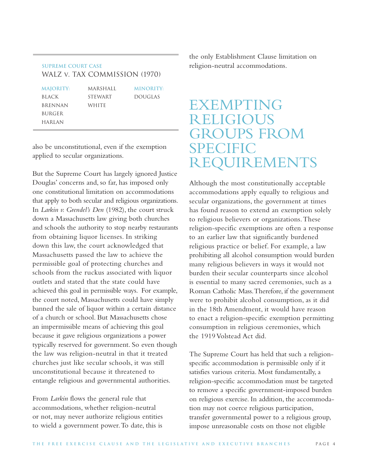### **Supreme Court Case** Walz v. Tax Commission (1970)

| <b>MAJORITY:</b> | MARSHALL       | <b>MINORITY:</b> |
|------------------|----------------|------------------|
| BLACK            | <b>STEWART</b> | <b>DOUGLAS</b>   |
| <b>BRENNAN</b>   | WHITE          |                  |
| BURGER           |                |                  |
| <b>HARLAN</b>    |                |                  |

also be unconstitutional, even if the exemption applied to secular organizations.

But the Supreme Court has largely ignored Justice Douglas' concerns and, so far, has imposed only one constitutional limitation on accommodations that apply to both secular and religious organizations. In *Larkin v. Grendel's Den* (1982), the court struck down a Massachusetts law giving both churches and schools the authority to stop nearby restaurants from obtaining liquor licenses. In striking down this law, the court acknowledged that Massachusetts passed the law to achieve the permissible goal of protecting churches and schools from the ruckus associated with liquor outlets and stated that the state could have achieved this goal in permissible ways. For example, the court noted, Massachusetts could have simply banned the sale of liquor within a certain distance of a church or school. But Massachusetts chose an impermissible means of achieving this goal because it gave religious organizations a power typically reserved for government. So even though the law was religion-neutral in that it treated churches just like secular schools, it was still unconstitutional because it threatened to entangle religious and governmental authorities.

From *Larkin* flows the general rule that accommodations, whether religion-neutral or not, may never authorize religious entities to wield a government power.To date, this is

the only Establishment Clause limitation on religion-neutral accommodations.

# EXEMPTING RELIGIOUS GROUPS FROM **SPECIFIC** REQUIREMENTS

Although the most constitutionally acceptable accommodations apply equally to religious and secular organizations, the government at times has found reason to extend an exemption solely to religious believers or organizations.These religion-specific exemptions are often a response to an earlier law that significantly burdened religious practice or belief. For example, a law prohibiting all alcohol consumption would burden many religious believers in ways it would not burden their secular counterparts since alcohol is essential to many sacred ceremonies, such as a Roman Catholic Mass.Therefore, if the government were to prohibit alcohol consumption, as it did in the 18th Amendment, it would have reason to enact a religion-specific exemption permitting consumption in religious ceremonies, which the 1919 Volstead Act did.

The Supreme Court has held that such a religionspecific accommodation is permissible only if it satisfies various criteria. Most fundamentally, a religion-specific accommodation must be targeted to remove a specific government-imposed burden on religious exercise. In addition, the accommodation may not coerce religious participation, transfer governmental power to a religious group, impose unreasonable costs on those not eligible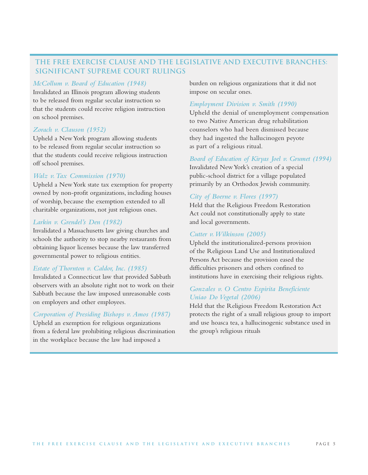### **The Free Exercise Clause and the Legislative and Executive Branches: Significant Supreme Court Rulings**

#### *McCollum v. Board of Education (1948)*

Invalidated an Illinois program allowing students to be released from regular secular instruction so that the students could receive religion instruction on school premises.

#### *Zorach v. Clauson (1952)*

Upheld a New York program allowing students to be released from regular secular instruction so that the students could receive religious instruction off school premises.

#### *Walz v.Tax Commission (1970)*

Upheld a New York state tax exemption for property owned by non-profit organizations, including houses of worship, because the exemption extended to all charitable organizations, not just religious ones.

#### *Larkin v. Grendel's Den (1982)*

Invalidated a Massachusetts law giving churches and schools the authority to stop nearby restaurants from obtaining liquor licenses because the law transferred governmental power to religious entities.

#### *Estate of Thornton v. Caldor, Inc. (1985)*

Invalidated a Connecticut law that provided Sabbath observers with an absolute right not to work on their Sabbath because the law imposed unreasonable costs on employers and other employees.

#### *Corporation of Presiding Bishops v. Amos (1987)*

Upheld an exemption for religious organizations from a federal law prohibiting religious discrimination in the workplace because the law had imposed a

burden on religious organizations that it did not impose on secular ones.

#### *Employment Division v. Smith (1990)*

Upheld the denial of unemployment compensation to two Native American drug rehabilitation counselors who had been dismissed because they had ingested the hallucinogen peyote as part of a religious ritual.

#### *Board of Education of Kiryas Joel v. Grumet (1994)*

Invalidated New York's creation of a special public-school district for a village populated primarily by an Orthodox Jewish community.

#### *City of Boerne v. Flores (1997)*

Held that the Religious Freedom Restoration Act could not constitutionally apply to state and local governments.

#### *Cutter v.Wilkinson (2005)*

Upheld the institutionalized-persons provision of the Religious Land Use and Institutionalized Persons Act because the provision eased the difficulties prisoners and others confined to institutions have in exercising their religious rights.

#### *Gonzales v. O Centro Espirita Beneficiente Uniao Do Vegetal (2006)*

Held that the Religious Freedom Restoration Act protects the right of a small religious group to import and use hoasca tea, a hallucinogenic substance used in the group's religious rituals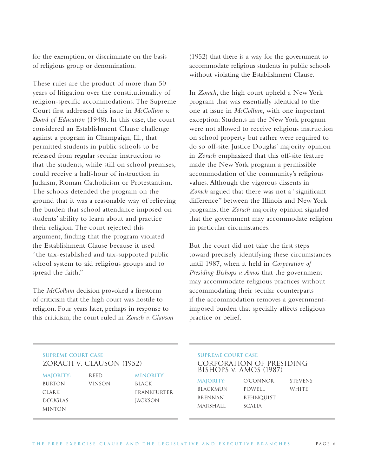for the exemption, or discriminate on the basis of religious group or denomination.

These rules are the product of more than 50 years of litigation over the constitutionality of religion-specific accommodations.The Supreme Court first addressed this issue in *McCollum v. Board of Education* (1948). In this case, the court considered an Establishment Clause challenge against a program in Champaign, Ill., that permitted students in public schools to be released from regular secular instruction so that the students, while still on school premises, could receive a half-hour of instruction in Judaism, Roman Catholicism or Protestantism. The schools defended the program on the ground that it was a reasonable way of relieving the burden that school attendance imposed on students' ability to learn about and practice their religion.The court rejected this argument, finding that the program violated the Establishment Clause because it used "the tax-established and tax-supported public school system to aid religious groups and to spread the faith."

The *McCollum* decision provoked a firestorm of criticism that the high court was hostile to religion. Four years later, perhaps in response to this criticism, the court ruled in *Zorach v. Clauson*

(1952) that there is a way for the government to accommodate religious students in public schools without violating the Establishment Clause.

In *Zorach*, the high court upheld a New York program that was essentially identical to the one at issue in *McCollum*, with one important exception: Students in the New York program were not allowed to receive religious instruction on school property but rather were required to do so off-site. Justice Douglas' majority opinion in *Zorach* emphasized that this off-site feature made the New York program a permissible accommodation of the community's religious values. Although the vigorous dissents in *Zorach* argued that there was not a "significant difference" between the Illinois and New York programs, the *Zorach* majority opinion signaled that the government may accommodate religion in particular circumstances.

But the court did not take the first steps toward precisely identifying these circumstances until 1987, when it held in *Corporation of Presiding Bishops v. Amos* that the government may accommodate religious practices without accommodating their secular counterparts if the accommodation removes a governmentimposed burden that specially affects religious practice or belief.

### **Supreme Court Case** Zorach v. Clauson (1952)

**REED** Vinson

**Majority:** Burton **CLARK** Douglas Minton

**Minority:** Black Frankfurter **JACKSON** 

#### **Supreme Court Case** Corporation of Presiding Bishops v. Amos (1987)

| <b>MAJORITY:</b> | O'CONNOR      | <b>STEVENS</b> |
|------------------|---------------|----------------|
| BLACKMUN         | POWELL        | WHITE          |
| <b>BRENNAN</b>   | REHNQUIST     |                |
| MARSHALL         | <b>SCALIA</b> |                |
|                  |               |                |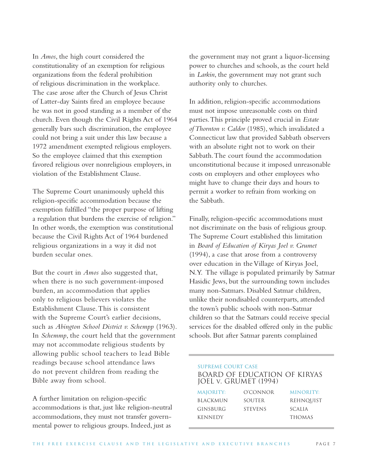In *Amos*, the high court considered the constitutionality of an exemption for religious organizations from the federal prohibition of religious discrimination in the workplace. The case arose after the Church of Jesus Christ of Latter-day Saints fired an employee because he was not in good standing as a member of the church. Even though the Civil Rights Act of 1964 generally bars such discrimination, the employee could not bring a suit under this law because a 1972 amendment exempted religious employers. So the employee claimed that this exemption favored religious over nonreligious employers, in violation of the Establishment Clause.

The Supreme Court unanimously upheld this religion-specific accommodation because the exemption fulfilled "the proper purpose of lifting a regulation that burdens the exercise of religion." In other words, the exemption was constitutional because the Civil Rights Act of 1964 burdened religious organizations in a way it did not burden secular ones.

But the court in *Amos* also suggested that, when there is no such government-imposed burden, an accommodation that applies only to religious believers violates the Establishment Clause.This is consistent with the Supreme Court's earlier decisions, such as *Abington School District v. Schempp* (1963). In *Schemmp*, the court held that the government may not accommodate religious students by allowing public school teachers to lead Bible readings because school attendance laws do not prevent children from reading the Bible away from school.

A further limitation on religion-specific accommodations is that, just like religion-neutral accommodations, they must not transfer governmental power to religious groups. Indeed, just as

the government may not grant a liquor-licensing power to churches and schools, as the court held in *Larkin*, the government may not grant such authority only to churches.

In addition, religion-specific accommodations must not impose unreasonable costs on third parties.This principle proved crucial in *Estate of Thornton v. Caldor* (1985), which invalidated a Connecticut law that provided Sabbath observers with an absolute right not to work on their Sabbath.The court found the accommodation unconstitutional because it imposed unreasonable costs on employers and other employees who might have to change their days and hours to permit a worker to refrain from working on the Sabbath.

Finally, religion-specific accommodations must not discriminate on the basis of religious group. The Supreme Court established this limitation in *Board of Education of Kiryas Joel v. Grumet* (1994), a case that arose from a controversy over education in the Village of Kiryas Joel, N.Y. The village is populated primarily by Satmar Hasidic Jews, but the surrounding town includes many non-Satmars. Disabled Satmar children, unlike their nondisabled counterparts, attended the town's public schools with non-Satmar children so that the Satmars could receive special services for the disabled offered only in the public schools. But after Satmar parents complained

#### **Supreme Court Case** Board of Education of Kiryas Joel v. Grumet (1994)

| <b>MAJORITY:</b> | O'CONNOR       | <b>MINORITY:</b> |
|------------------|----------------|------------------|
| BLACKMUN         | SOUTER         | REHNQUIST        |
| GINSBURG         | <b>STEVENS</b> | <b>SCALIA</b>    |
| KENNEDY          |                | <b>THOMAS</b>    |
|                  |                |                  |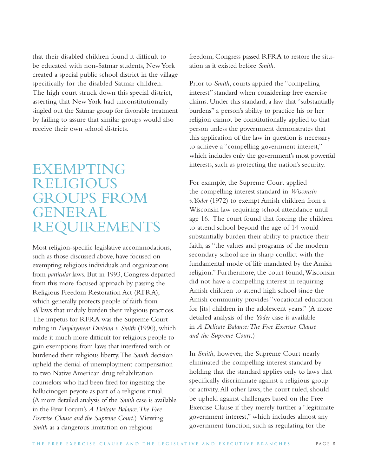that their disabled children found it difficult to be educated with non-Satmar students, New York created a special public school district in the village specifically for the disabled Satmar children. The high court struck down this special district, asserting that New York had unconstitutionally singled out the Satmar group for favorable treatment by failing to assure that similar groups would also receive their own school districts.

# EXEMPTING RELIGIOUS GROUPS FROM GENERAL REQUIREMENTS

Most religion-specific legislative accommodations, such as those discussed above, have focused on exempting religious individuals and organizations from *particular* laws. But in 1993, Congress departed from this more-focused approach by passing the Religious Freedom Restoration Act (RFRA), which generally protects people of faith from *all* laws that unduly burden their religious practices. The impetus for RFRA was the Supreme Court ruling in *Employment Division v. Smith* (1990), which made it much more difficult for religious people to gain exemptions from laws that interfered with or burdened their religious liberty.The *Smith* decision upheld the denial of unemployment compensation to two Native American drug rehabilitation counselors who had been fired for ingesting the hallucinogen peyote as part of a religious ritual. (A more detailed analysis of the *Smith* case is available in the Pew Forum's *A Delicate Balance:The Free Exercise Clause and the Supreme Court.*) Viewing *Smith* as a dangerous limitation on religious

freedom, Congress passed RFRA to restore the situation as it existed before *Smith*.

Prior to *Smith*, courts applied the "compelling interest" standard when considering free exercise claims. Under this standard, a law that "substantially burdens" a person's ability to practice his or her religion cannot be constitutionally applied to that person unless the government demonstrates that this application of the law in question is necessary to achieve a "compelling government interest," which includes only the government's most powerful interests, such as protecting the nation's security.

For example, the Supreme Court applied the compelling interest standard in *Wisconsin v.Yoder* (1972) to exempt Amish children from a Wisconsin law requiring school attendance until age 16. The court found that forcing the children to attend school beyond the age of 14 would substantially burden their ability to practice their faith, as "the values and programs of the modern secondary school are in sharp conflict with the fundamental mode of life mandated by the Amish religion." Furthermore, the court found,Wisconsin did not have a compelling interest in requiring Amish children to attend high school since the Amish community provides "vocational education for [its] children in the adolescent years." (A more detailed analysis of the *Yoder* case is available in *A Delicate Balance:The Free Exercise Clause and the Supreme Court.*)

In *Smith*, however, the Supreme Court nearly eliminated the compelling interest standard by holding that the standard applies only to laws that specifically discriminate against a religious group or activity.All other laws, the court ruled, should be upheld against challenges based on the Free Exercise Clause if they merely further a "legitimate government interest," which includes almost any government function, such as regulating for the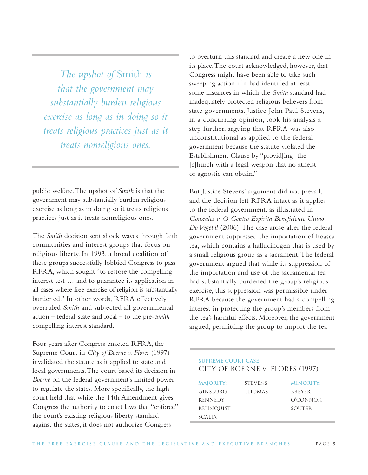*The upshot of* Smith *is that the government may substantially burden religious exercise as long as in doing so it treats religious practices just as it treats nonreligious ones.*

public welfare.The upshot of *Smith* is that the government may substantially burden religious exercise as long as in doing so it treats religious practices just as it treats nonreligious ones.

The *Smith* decision sent shock waves through faith communities and interest groups that focus on religious liberty. In 1993, a broad coalition of these groups successfully lobbied Congress to pass RFRA, which sought "to restore the compelling interest test … and to guarantee its application in all cases where free exercise of religion is substantially burdened." In other words, RFRA effectively overruled *Smith* and subjected all governmental action – federal, state and local – to the pre-*Smith* compelling interest standard.

Four years after Congress enacted RFRA, the Supreme Court in *City of Boerne v. Flores* (1997) invalidated the statute as it applied to state and local governments.The court based its decision in *Boerne* on the federal government's limited power to regulate the states. More specifically, the high court held that while the 14th Amendment gives Congress the authority to enact laws that "enforce" the court's existing religious liberty standard against the states, it does not authorize Congress

to overturn this standard and create a new one in its place.The court acknowledged, however, that Congress might have been able to take such sweeping action if it had identified at least some instances in which the *Smith* standard had inadequately protected religious believers from state governments. Justice John Paul Stevens, in a concurring opinion, took his analysis a step further, arguing that RFRA was also unconstitutional as applied to the federal government because the statute violated the Establishment Clause by "provid[ing] the [c]hurch with a legal weapon that no atheist or agnostic can obtain."

But Justice Stevens' argument did not prevail, and the decision left RFRA intact as it applies to the federal government, as illustrated in *Gonzales v. O Centro Espirita Beneficiente Uniao Do Vegetal* (2006).The case arose after the federal government suppressed the importation of hoasca tea, which contains a hallucinogen that is used by a small religious group as a sacrament.The federal government argued that while its suppression of the importation and use of the sacramental tea had substantially burdened the group's religious exercise, this suppression was permissible under RFRA because the government had a compelling interest in protecting the group's members from the tea's harmful effects. Moreover, the government argued, permitting the group to import the tea

### **Supreme Court Case** City of Boerne v. Flores (1997)

| <b>MAJORITY:</b> | <b>STEVENS</b> | <b>MINORITY:</b> |
|------------------|----------------|------------------|
| GINSBURG         | <b>THOMAS</b>  | <b>BREYER</b>    |
| KENNEDY          |                | O'CONNOR         |
| REHNQUIST        |                | SOUTER           |
| <b>SCALIA</b>    |                |                  |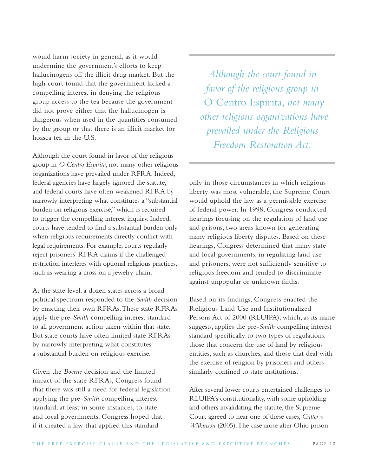would harm society in general, as it would undermine the government's efforts to keep hallucinogens off the illicit drug market. But the high court found that the government lacked a compelling interest in denying the religious group access to the tea because the government did not prove either that the hallucinogen is dangerous when used in the quantities consumed by the group or that there is an illicit market for hoasca tea in the U.S.

Although the court found in favor of the religious group in *O Centro Espirita*, not many other religious organizations have prevailed under RFRA. Indeed, federal agencies have largely ignored the statute, and federal courts have often weakened RFRA by narrowly interpreting what constitutes a "substantial burden on religious exercise," which is required to trigger the compelling interest inquiry. Indeed, courts have tended to find a substantial burden only when religious requirements directly conflict with legal requirements. For example, courts regularly reject prisoners' RFRA claims if the challenged restriction interferes with optional religious practices, such as wearing a cross on a jewelry chain.

At the state level, a dozen states across a broad political spectrum responded to the *Smith* decision by enacting their own RFRAs.These state RFRAs apply the pre-*Smith* compelling interest standard to all government action taken within that state. But state courts have often limited state RFRAs by narrowly interpreting what constitutes a substantial burden on religious exercise.

Given the *Boerne* decision and the limited impact of the state RFRAs, Congress found that there was still a need for federal legislation applying the pre-*Smith* compelling interest standard, at least in some instances, to state and local governments. Congress hoped that if it created a law that applied this standard

*Although the court found in favor of the religious group in* O Centro Espirita*, not many other religious organizations have prevailed under the Religious Freedom Restoration Act.*

only in those circumstances in which religious liberty was most vulnerable, the Supreme Court would uphold the law as a permissible exercise of federal power. In 1998, Congress conducted hearings focusing on the regulation of land use and prisons, two areas known for generating many religious liberty disputes. Based on these hearings, Congress determined that many state and local governments, in regulating land use and prisoners, were not sufficiently sensitive to religious freedom and tended to discriminate against unpopular or unknown faiths.

Based on its findings, Congress enacted the Religious Land Use and Institutionalized Persons Act of 2000 (RLUIPA), which, as its name suggests, applies the pre-*Smith* compelling interest standard specifically to two types of regulations: those that concern the use of land by religious entities, such as churches, and those that deal with the exercise of religion by prisoners and others similarly confined to state institutions.

After several lower courts entertained challenges to RLUIPA's constitutionality, with some upholding and others invalidating the statute, the Supreme Court agreed to hear one of these cases, *Cutter v. Wilkinson* (2005).The case arose after Ohio prison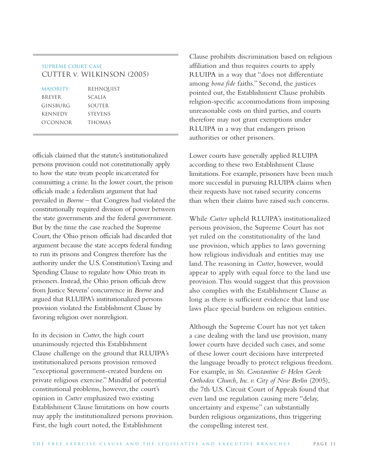#### **Supreme Court Case** CUTTER v. WILKINSON (2005)

| <b>MAJORITY:</b> | rehnquist      |
|------------------|----------------|
| <b>BREYER</b>    | <b>SCALIA</b>  |
| GINSBURG         | SOUTER         |
| KENNEDY          | <b>STEVENS</b> |
| O'CONNOR         | <b>THOMAS</b>  |
|                  |                |

officials claimed that the statute's institutionalized persons provision could not constitutionally apply to how the state treats people incarcerated for committing a crime. In the lower court, the prison officials made a federalism argument that had prevailed in *Boerne* – that Congress had violated the constitutionally required division of power between the state governments and the federal government. But by the time the case reached the Supreme Court, the Ohio prison officials had discarded that argument because the state accepts federal funding to run its prisons and Congress therefore has the authority under the U.S. Constitution's Taxing and Spending Clause to regulate how Ohio treats its prisoners. Instead, the Ohio prison officials drew from Justice Stevens' concurrence in *Boerne* and argued that RLUIPA's institutionalized persons provision violated the Establishment Clause by favoring religion over nonreligion.

In its decision in *Cutter*, the high court unanimously rejected this Establishment Clause challenge on the ground that RLUIPA's institutionalized persons provision removed "exceptional government-created burdens on private religious exercise." Mindful of potential constitutional problems, however, the court's opinion in *Cutter* emphasized two existing Establishment Clause limitations on how courts may apply the institutionalized persons provision. First, the high court noted, the Establishment

Clause prohibits discrimination based on religious affiliation and thus requires courts to apply RLUIPA in a way that "does not differentiate among *bona fide* faiths." Second, the justices pointed out, the Establishment Clause prohibits religion-specific accommodations from imposing unreasonable costs on third parties, and courts therefore may not grant exemptions under RLUIPA in a way that endangers prison authorities or other prisoners.

Lower courts have generally applied RLUIPA according to these two Establishment Clause limitations. For example, prisoners have been much more successful in pursuing RLUIPA claims when their requests have not raised security concerns than when their claims have raised such concerns.

While *Cutter* upheld RLUIPA's institutionalized persons provision, the Supreme Court has not yet ruled on the constitutionality of the land use provision, which applies to laws governing how religious individuals and entities may use land.The reasoning in *Cutter*, however, would appear to apply with equal force to the land use provision.This would suggest that this provision also complies with the Establishment Clause as long as there is sufficient evidence that land use laws place special burdens on religious entities.

Although the Supreme Court has not yet taken a case dealing with the land use provision, many lower courts have decided such cases, and some of these lower court decisions have interpreted the language broadly to protect religious freedom. For example, in *Sts. Constantine & Helen Greek Orthodox Church, Inc. v. City of New Berlin* (2005), the 7th U.S. Circuit Court of Appeals found that even land use regulation causing mere "delay, uncertainty and expense" can substantially burden religious organizations, thus triggering the compelling interest test.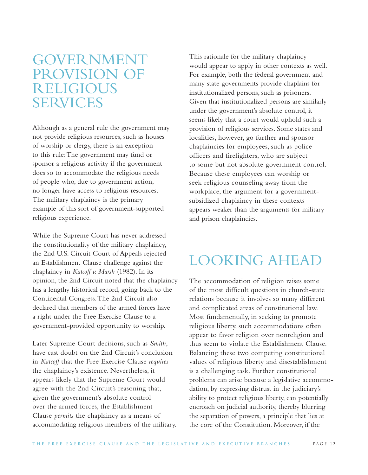# GOVERNMENT PROVISION OF RELIGIOUS SERVICES

Although as a general rule the government may not provide religious resources, such as houses of worship or clergy, there is an exception to this rule:The government may fund or sponsor a religious activity if the government does so to accommodate the religious needs of people who, due to government action, no longer have access to religious resources. The military chaplaincy is the primary example of this sort of government-supported religious experience.

While the Supreme Court has never addressed the constitutionality of the military chaplaincy, the 2nd U.S. Circuit Court of Appeals rejected an Establishment Clause challenge against the chaplaincy in *Katcoff v. Marsh* (1982). In its opinion, the 2nd Circuit noted that the chaplaincy has a lengthy historical record, going back to the Continental Congress.The 2nd Circuit also declared that members of the armed forces have a right under the Free Exercise Clause to a government-provided opportunity to worship.

Later Supreme Court decisions, such as *Smith*, have cast doubt on the 2nd Circuit's conclusion in *Katcoff* that the Free Exercise Clause *requires* the chaplaincy's existence. Nevertheless, it appears likely that the Supreme Court would agree with the 2nd Circuit's reasoning that, given the government's absolute control over the armed forces, the Establishment Clause *permits* the chaplaincy as a means of accommodating religious members of the military. This rationale for the military chaplaincy would appear to apply in other contexts as well. For example, both the federal government and many state governments provide chaplains for institutionalized persons, such as prisoners. Given that institutionalized persons are similarly under the government's absolute control, it seems likely that a court would uphold such a provision of religious services. Some states and localities, however, go further and sponsor chaplaincies for employees, such as police officers and firefighters, who are subject to some but not absolute government control. Because these employees can worship or seek religious counseling away from the workplace, the argument for a governmentsubsidized chaplaincy in these contexts appears weaker than the arguments for military and prison chaplaincies.

# LOOKING AHEAD

The accommodation of religion raises some of the most difficult questions in church-state relations because it involves so many different and complicated areas of constitutional law. Most fundamentally, in seeking to promote religious liberty, such accommodations often appear to favor religion over nonreligion and thus seem to violate the Establishment Clause. Balancing these two competing constitutional values of religious liberty and disestablishment is a challenging task. Further constitutional problems can arise because a legislative accommodation, by expressing distrust in the judiciary's ability to protect religious liberty, can potentially encroach on judicial authority, thereby blurring the separation of powers, a principle that lies at the core of the Constitution. Moreover, if the